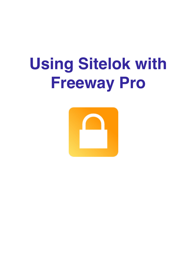# **Using Sitelok with Freeway Pro**

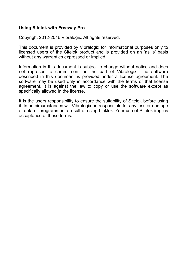#### **Using Sitelok with Freeway Pro**

Copyright 2012-2016 Vibralogix. All rights reserved.

This document is provided by Vibralogix for informational purposes only to licensed users of the Sitelok product and is provided on an 'as is' basis without any warranties expressed or implied.

Information in this document is subject to change without notice and does not represent a commitment on the part of Vibralogix. The software described in this document is provided under a license agreement. The software may be used only in accordance with the terms of that license agreement. It is against the law to copy or use the software except as specifically allowed in the license.

It is the users responsibility to ensure the suitability of Sitelok before using it. In no circumstances will Vibralogix be responsible for any loss or damage of data or programs as a result of using Linklok. Your use of Sitelok implies acceptance of these terms.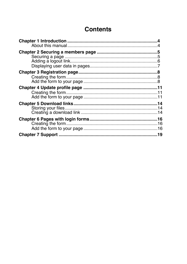# **Contents**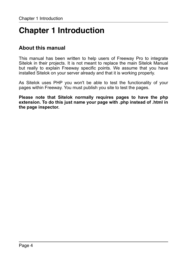# <span id="page-3-0"></span>**Chapter 1 Introduction**

# <span id="page-3-1"></span>**About this manual**

This manual has been written to help users of Freeway Pro to integrate Sitelok in their projects. It is not meant to replace the main Sitelok Manual but really to explain Freeway specific points. We assume that you have installed Sitelok on your server already and that it is working properly.

As Sitelok uses PHP you won't be able to test the functionality of your pages within Freeway. You must publish you site to test the pages.

**Please note that Sitelok normally requires pages to have the php extension. To do this just name your page with .php instead of .html in the page inspector.**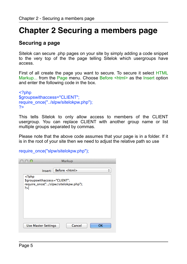# <span id="page-4-0"></span>**Chapter 2 Securing a members page**

## <span id="page-4-1"></span>**Securing a page**

Sitelok can secure .php pages on your site by simply adding a code snippet to the very top of the the page telling Sitelok which usergroups have access.

First of all create the page you want to secure. To secure it select HTML Markup... from the Page menu. Choose Before <html> as the Insert option and enter the following code in the box.

```
<?php 
$groupswithaccess="CLIENT"; 
require_once("../slpw/sitelokpw.php");
?>
```
This tells Sitelok to only allow access to members of the CLIENT usergroup. You can replace CLIENT with another group name or list multiple groups separated by commas.

Please note that the above code assumes that your page is in a folder. If it is in the root of your site then we need to adjust the relative path so use

require\_once("slpw/sitelokpw.php");

| ∩               |                                                                      | Markup               |                               |
|-----------------|----------------------------------------------------------------------|----------------------|-------------------------------|
|                 | Insert:                                                              | Before <html></html> | ▲<br>$\overline{\phantom{a}}$ |
| $<$ ?php<br>?>l | \$groupswithaccess="CLIENT";<br>require_once("/slpw/sitelokpw.php"); |                      |                               |
|                 | <b>Use Master Settings</b>                                           | Cancel               | OK                            |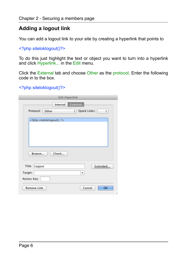# <span id="page-5-0"></span>**Adding a logout link**

You can add a logout link to your site by creating a hyperlink that points to

<?php siteloklogout()?>

To do this just highlight the text or object you want to turn into a hyperlink and click Hyperlink... in the Edit menu.

Click the External tab and choose Other as the protocol. Enter the following code in to the box.

#### <?php siteloklogout()?>

| <b>Edit Hyperlink</b>                        |
|----------------------------------------------|
| External<br>Internal                         |
| Quick Links:<br>Protocol:<br>Other<br>÷<br>÷ |
| php siteloklogout(); ?                       |
|                                              |
|                                              |
|                                              |
|                                              |
| Check<br>Browse                              |
|                                              |
| Title:<br>Logout<br>Extended                 |
| Target:<br>▼                                 |
| Access Key:                                  |
| Cancel<br><b>OK</b><br><b>Remove Link</b>    |
|                                              |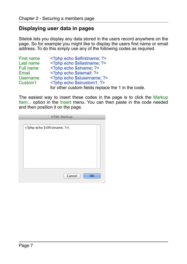## <span id="page-6-0"></span>**Displaying user data in pages**

Sitelok lets you display any data stored in the users record anywhere on the page. So for example you might like to display the users first name or email address. To do this simply use any of the following codes as required.

| First name          | php echo \$slfirstname; ?                          |
|---------------------|----------------------------------------------------|
| Last name           | php echo \$sllastname; ?                           |
| Full name           | php echo \$slname; ?                               |
| Email               | php echo \$slemail; ?                              |
| Username            | php echo \$ sluse rname; ?</td                     |
| Custom <sub>1</sub> | php echo \$slcustom1; ?                            |
|                     | for other custom fields replace the 1 in the code. |

The easiest way to insert these codes in the page is to click the Markup Item... option in the Insert menu. You can then paste in the code needed and then position it on the page.

|                           | <b>HTML Markup</b> |        |    |
|---------------------------|--------------------|--------|----|
| php echo \$slfirstname; ? |                    |        |    |
|                           |                    |        |    |
|                           |                    |        |    |
|                           |                    |        |    |
|                           |                    |        |    |
|                           |                    |        |    |
|                           |                    | Cancel | OK |
|                           |                    |        |    |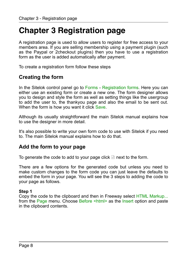# <span id="page-7-0"></span>**Chapter 3 Registration page**

A registration page is used to allow users to register for free access to your members area. If you are selling membership using a payment plugin (such as the Paypal or 2checkout plugins) then you have to use a registration form as the user is added automatically after payment.

To create a registration form follow these steps

# <span id="page-7-1"></span>**Creating the form**

In the Sitelok control panel go to Forms - Registration forms. Here you can either use an existing form or create a new one. The form designer allows you to design and style the form as well as setting things like the usergroup to add the user to, the thankyou page and also the email to be sent out. When the form is how you want it click Save.

Although its usually straightforward the main Sitelok manual explains how to use the designer in more detail.

It's also possible to write your own form code to use with Sitelok if you need to. The main Sitelok manual explains how to do that.

## <span id="page-7-2"></span>**Add the form to your page**

To generate the code to add to your page click  $\blacksquare$  next to the form.

There are a few options for the generated code but unless you need to make custom changes to the form code you can just leave the defaults to embed the form in your page. You will see the 3 steps to adding the code to your page as follows.

#### **Step 1**

Copy the code to the clipboard and then in Freeway select HTML Markup... from the Page menu. Choose Before <html> as the Insert option and paste in the clipboard contents.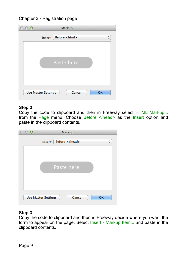Chapter 3 - Registration page

| ∩ | Markup                               |    |
|---|--------------------------------------|----|
|   | Before <html><br/>Insert:</html>     | ÷  |
|   |                                      |    |
|   | Paste here                           |    |
|   |                                      |    |
|   |                                      |    |
|   | Cancel<br><b>Use Master Settings</b> | OK |
|   |                                      |    |

#### **Step 2**

Copy the code to clipboard and then in Freeway select HTML Markup... from the Page menu. Choose Before </head> as the Insert option and paste in the clipboard contents.

| ∩ | Markup                               |    |
|---|--------------------------------------|----|
|   | Before<br>Insert:                    | ÷  |
|   |                                      |    |
|   | Paste here                           |    |
|   |                                      |    |
|   |                                      |    |
|   | Cancel<br><b>Use Master Settings</b> | OK |

#### **Step 3**

Copy the code to clipboard and then in Freeway decide where you want the form to appear on the page. Select Insert - Markup Item... and paste in the clipboard contents.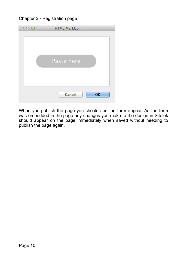Chapter 3 - Registration page

| <b>HTML MarkUp</b><br>∩ |
|-------------------------|
| Paste here              |
| Cancel<br><b>OK</b>     |

When you publish the page you should see the form appear. As the form was embedded in the page any changes you make to the design in Sitelok should appear on the page immediately when saved without needing to publish the page again.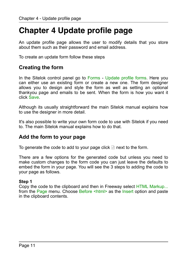# <span id="page-10-0"></span>**Chapter 4 Update profile page**

An update profile page allows the user to modify details that you store about them such as their password and email address.

To create an update form follow these steps

## <span id="page-10-1"></span>**Creating the form**

In the Sitelok control panel go to Forms - Update profile forms. Here you can either use an existing form or create a new one. The form designer allows you to design and style the form as well as setting an optional thankyou page and emails to be sent. When the form is how you want it click Save.

Although its usually straightforward the main Sitelok manual explains how to use the designer in more detail.

It's also possible to write your own form code to use with Sitelok if you need to. The main Sitelok manual explains how to do that.

## <span id="page-10-2"></span>**Add the form to your page**

To generate the code to add to your page click  $\Box$  next to the form.

There are a few options for the generated code but unless you need to make custom changes to the form code you can just leave the defaults to embed the form in your page. You will see the 3 steps to adding the code to your page as follows.

#### **Step 1**

Copy the code to the clipboard and then in Freeway select HTML Markup... from the Page menu. Choose Before <html> as the Insert option and paste in the clipboard contents.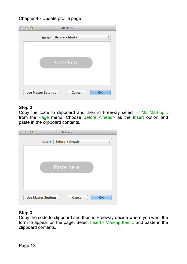Chapter 4 - Update profile page

| O                          | Markup               |                 |
|----------------------------|----------------------|-----------------|
| Insert:                    | Before <html></html> | $\frac{1}{\pi}$ |
|                            | Paste here           |                 |
| <b>Use Master Settings</b> | Cancel               | <b>OK</b>       |

#### **Step 2**

Copy the code to clipboard and then in Freeway select HTML Markup... from the Page menu. Choose Before </head> as the Insert option and paste in the clipboard contents.

| ∩ | Markup                               |    |
|---|--------------------------------------|----|
|   | Before<br>Insert:                    | ÷  |
|   |                                      |    |
|   | Paste here                           |    |
|   |                                      |    |
|   |                                      |    |
|   | Cancel<br><b>Use Master Settings</b> | OK |

#### **Step 3**

Copy the code to clipboard and then in Freeway decide where you want the form to appear on the page. Select Insert - Markup Item... and paste in the clipboard contents.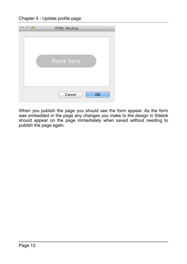Chapter 4 - Update profile page

| O | <b>HTML MarkUp</b>  |
|---|---------------------|
|   | Paste here          |
|   | Cancel<br><b>OK</b> |

When you publish the page you should see the form appear. As the form was embedded in the page any changes you make to the design in Sitelok should appear on the page immediately when saved without needing to publish the page again.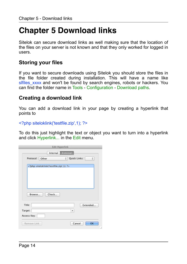# <span id="page-13-0"></span>**Chapter 5 Download links**

Sitelok can secure download links as well making sure that the location of the files on your server is not known and that they only worked for logged in users.

## <span id="page-13-1"></span>**Storing your files**

If you want to secure downloads using Sitelok you should store the files in the file folder created during installation. This will have a name like slfiles xxxx and won't be found by search engines, robots or hackers. You can find the folder name in Tools - Configuration - Download paths.

## <span id="page-13-2"></span>**Creating a download link**

You can add a download link in your page by creating a hyperlink that points to

<?php siteloklink('testfile.zip',1); ?>

To do this just highlight the text or object you want to turn into a hyperlink and click Hyperlink... in the Edit menu.

| <b>Edit Hyperlink</b>                        |    |
|----------------------------------------------|----|
| External<br>Internal                         |    |
| Protocol:<br>Quick Links:<br>Other<br>÷<br>÷ |    |
| php siteloklink('testfile.zip',1); ?         |    |
|                                              |    |
|                                              |    |
|                                              |    |
|                                              |    |
| Check                                        |    |
| Browse                                       |    |
| Title:<br>Extended                           |    |
| Target:<br>▼                                 |    |
| Access Key:                                  |    |
|                                              |    |
| OK<br>Remove Link<br>Cancel                  |    |
|                                              | h. |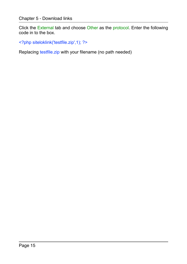Click the External tab and choose Other as the protocol. Enter the following code in to the box.

<?php siteloklink('testfile.zip',1); ?>

Replacing testfile.zip with your filename (no path needed)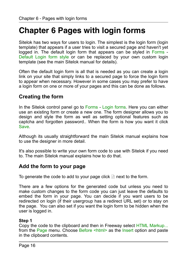# <span id="page-15-0"></span>**Chapter 6 Pages with login forms**

Sitelok has two ways for users to login. The simplest is the login form (login template) that appears if a user tries to visit a secured page and haven't yet logged in. The default login form that appears can be styled in Forms - Default Login form style or can be replaced by your own custom login template (see the main Sitelok manual for details).

Often the default login form is all that is needed as you can create a login link on your site that simply links to a secured page to force the login form to appear when necessary. However in some cases you may prefer to have a login form on one or more of your pages and this can be done as follows.

## <span id="page-15-1"></span>**Creating the form**

In the Sitelok control panel go to Forms - Login forms. Here you can either use an existing form or create a new one. The form designer allows you to design and style the form as well as setting optional features such as captcha and forgotten password.. When the form is how you want it click Save.

Although its usually straightforward the main Sitelok manual explains how to use the designer in more detail.

It's also possible to write your own form code to use with Sitelok if you need to. The main Sitelok manual explains how to do that.

## <span id="page-15-2"></span>**Add the form to your page**

To generate the code to add to your page click  $\blacksquare$  next to the form.

There are a few options for the generated code but unless you need to make custom changes to the form code you can just leave the defaults to embed the form in your page. You can decide if you want users to be redirected on login (if their usergroup has a redirect URL set) or to stay on the page. You can also set if you want the login form to be hidden when the user is logged in.

#### **Step 1**

Copy the code to the clipboard and then in Freeway select HTML Markup... from the Page menu. Choose Before <html> as the Insert option and paste in the clipboard contents.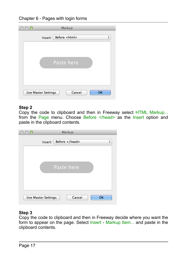

| $\circ$ | Markup                                     |               |
|---------|--------------------------------------------|---------------|
|         | Before <html><br/>Insert:</html>           | $\frac{4}{7}$ |
|         |                                            |               |
|         | Paste here                                 |               |
|         | Cancel<br>OK<br><b>Use Master Settings</b> |               |

#### **Step 2**

Copy the code to clipboard and then in Freeway select HTML Markup... from the Page menu. Choose Before </head> as the Insert option and paste in the clipboard contents.

| ∩ | Markup                                     |   |
|---|--------------------------------------------|---|
|   | Before<br>Insert:                          | ÷ |
|   |                                            |   |
|   | Paste here                                 |   |
|   |                                            |   |
|   |                                            |   |
|   | Cancel<br>OK<br><b>Use Master Settings</b> |   |

#### **Step 3**

Copy the code to clipboard and then in Freeway decide where you want the form to appear on the page. Select Insert - Markup Item... and paste in the clipboard contents.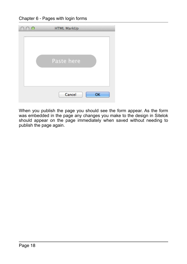Chapter 6 - Pages with login forms

| O | <b>HTML MarkUp</b> |
|---|--------------------|
|   | Paste here         |
|   | Cancel<br>OK       |

When you publish the page you should see the form appear. As the form was embedded in the page any changes you make to the design in Sitelok should appear on the page immediately when saved without needing to publish the page again.